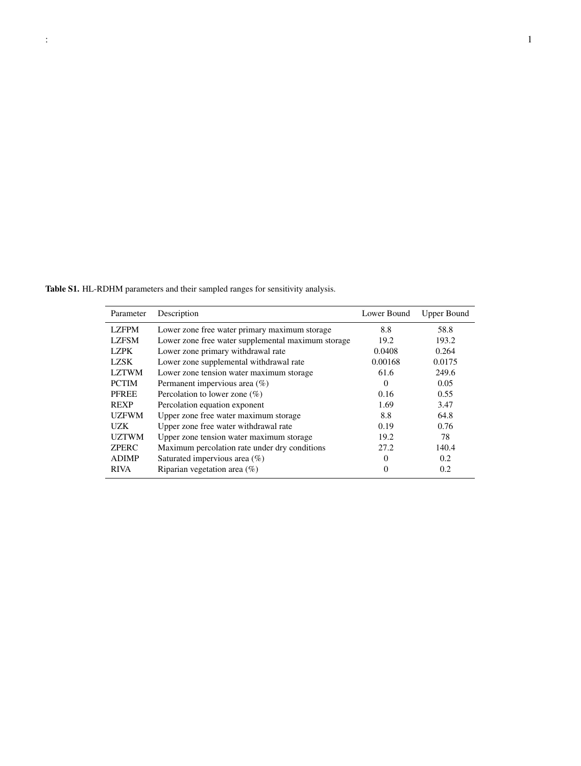Table S1. HL-RDHM parameters and their sampled ranges for sensitivity analysis.

| Parameter    | Description                                        | Lower Bound | <b>Upper Bound</b> |
|--------------|----------------------------------------------------|-------------|--------------------|
| <b>LZFPM</b> | Lower zone free water primary maximum storage      | 8.8         | 58.8               |
| <b>LZFSM</b> | Lower zone free water supplemental maximum storage | 19.2        | 193.2              |
| <b>LZPK</b>  | Lower zone primary withdrawal rate                 | 0.0408      | 0.264              |
| LZSK         | Lower zone supplemental withdrawal rate            | 0.00168     | 0.0175             |
| <b>LZTWM</b> | Lower zone tension water maximum storage           | 61.6        | 249.6              |
| <b>PCTIM</b> | Permanent impervious area $(\%)$                   | $\Omega$    | 0.05               |
| <b>PFREE</b> | Percolation to lower zone $(\%)$                   | 0.16        | 0.55               |
| <b>REXP</b>  | Percolation equation exponent                      | 1.69        | 3.47               |
| <b>UZFWM</b> | Upper zone free water maximum storage              | 8.8         | 64.8               |
| UZK          | Upper zone free water withdrawal rate              | 0.19        | 0.76               |
| <b>UZTWM</b> | Upper zone tension water maximum storage           | 19.2        | 78                 |
| <b>ZPERC</b> | Maximum percolation rate under dry conditions      | 27.2        | 140.4              |
| <b>ADIMP</b> | Saturated impervious area $(\%)$                   | $\Omega$    | 0.2                |
| <b>RIVA</b>  | Riparian vegetation area $(\%)$                    | 0           | 0.2                |